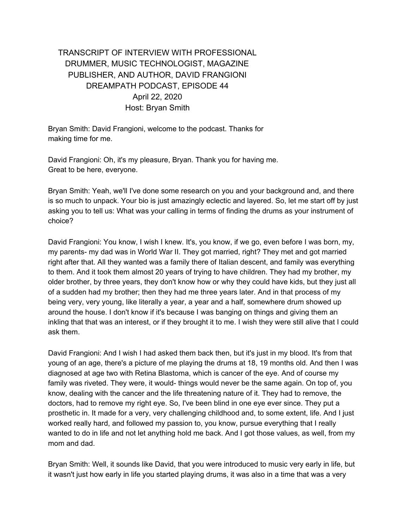# TRANSCRIPT OF INTERVIEW WITH PROFESSIONAL DRUMMER, MUSIC TECHNOLOGIST, MAGAZINE PUBLISHER, AND AUTHOR, DAVID FRANGIONI DREAMPATH PODCAST, EPISODE 44 April 22, 2020 Host: Bryan Smith

Bryan Smith: David Frangioni, welcome to the podcast. Thanks for making time for me.

David Frangioni: Oh, it's my pleasure, Bryan. Thank you for having me. Great to be here, everyone.

Bryan Smith: Yeah, we'll I've done some research on you and your background and, and there is so much to unpack. Your bio is just amazingly eclectic and layered. So, let me start off by just asking you to tell us: What was your calling in terms of finding the drums as your instrument of choice?

David Frangioni: You know, I wish I knew. It's, you know, if we go, even before I was born, my, my parents- my dad was in World War II. They got married, right? They met and got married right after that. All they wanted was a family there of Italian descent, and family was everything to them. And it took them almost 20 years of trying to have children. They had my brother, my older brother, by three years, they don't know how or why they could have kids, but they just all of a sudden had my brother; then they had me three years later. And in that process of my being very, very young, like literally a year, a year and a half, somewhere drum showed up around the house. I don't know if it's because I was banging on things and giving them an inkling that that was an interest, or if they brought it to me. I wish they were still alive that I could ask them.

David Frangioni: And I wish I had asked them back then, but it's just in my blood. It's from that young of an age, there's a picture of me playing the drums at 18, 19 months old. And then I was diagnosed at age two with Retina Blastoma, which is cancer of the eye. And of course my family was riveted. They were, it would- things would never be the same again. On top of, you know, dealing with the cancer and the life threatening nature of it. They had to remove, the doctors, had to remove my right eye. So, I've been blind in one eye ever since. They put a prosthetic in. It made for a very, very challenging childhood and, to some extent, life. And I just worked really hard, and followed my passion to, you know, pursue everything that I really wanted to do in life and not let anything hold me back. And I got those values, as well, from my mom and dad.

Bryan Smith: Well, it sounds like David, that you were introduced to music very early in life, but it wasn't just how early in life you started playing drums, it was also in a time that was a very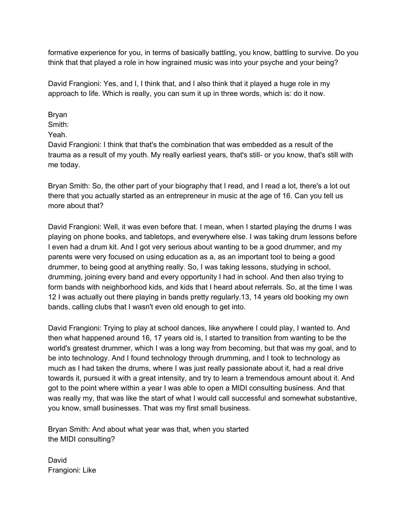formative experience for you, in terms of basically battling, you know, battling to survive. Do you think that that played a role in how ingrained music was into your psyche and your being?

David Frangioni: Yes, and I, I think that, and I also think that it played a huge role in my approach to life. Which is really, you can sum it up in three words, which is: do it now.

Bryan

Smith:

Yeah.

David Frangioni: I think that that's the combination that was embedded as a result of the trauma as a result of my youth. My really earliest years, that's still- or you know, that's still with me today.

Bryan Smith: So, the other part of your biography that I read, and I read a lot, there's a lot out there that you actually started as an entrepreneur in music at the age of 16. Can you tell us more about that?

David Frangioni: Well, it was even before that. I mean, when I started playing the drums I was playing on phone books, and tabletops, and everywhere else. I was taking drum lessons before I even had a drum kit. And I got very serious about wanting to be a good drummer, and my parents were very focused on using education as a, as an important tool to being a good drummer, to being good at anything really. So, I was taking lessons, studying in school, drumming, joining every band and every opportunity I had in school. And then also trying to form bands with neighborhood kids, and kids that I heard about referrals. So, at the time I was 12 I was actually out there playing in bands pretty regularly.13, 14 years old booking my own bands, calling clubs that I wasn't even old enough to get into.

David Frangioni: Trying to play at school dances, like anywhere I could play, I wanted to. And then what happened around 16, 17 years old is, I started to transition from wanting to be the world's greatest drummer, which I was a long way from becoming, but that was my goal, and to be into technology. And I found technology through drumming, and I took to technology as much as I had taken the drums, where I was just really passionate about it, had a real drive towards it, pursued it with a great intensity, and try to learn a tremendous amount about it. And got to the point where within a year I was able to open a MIDI consulting business. And that was really my, that was like the start of what I would call successful and somewhat substantive, you know, small businesses. That was my first small business.

Bryan Smith: And about what year was that, when you started the MIDI consulting?

David Frangioni: Like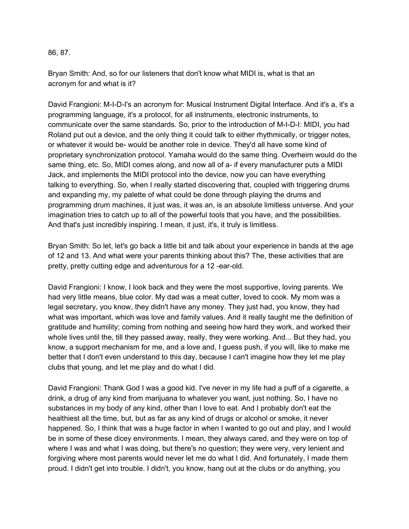#### 86, 87.

Bryan Smith: And, so for our listeners that don't know what MIDI is, what is that an acronym for and what is it?

David Frangioni: M-I-D-I's an acronym for: Musical Instrument Digital Interface. And it's a, it's a programming language, it's a protocol, for all instruments, electronic instruments, to communicate over the same standards. So, prior to the introduction of M-I-D-I: MIDI, you had Roland put out a device, and the only thing it could talk to either rhythmically, or trigger notes, or whatever it would be- would be another role in device. They'd all have some kind of proprietary synchronization protocol. Yamaha would do the same thing. Overheim would do the same thing, etc. So, MIDI comes along, and now all of a- if every manufacturer puts a MIDI Jack, and implements the MIDI protocol into the device, now you can have everything talking to everything. So, when I really started discovering that, coupled with triggering drums and expanding my, my palette of what could be done through playing the drums and programming drum machines, it just was, it was an, is an absolute limitless universe. And your imagination tries to catch up to all of the powerful tools that you have, and the possibilities. And that's just incredibly inspiring. I mean, it just, it's, it truly is limitless.

Bryan Smith: So let, let's go back a little bit and talk about your experience in bands at the age of 12 and 13. And what were your parents thinking about this? The, these activities that are pretty, pretty cutting edge and adventurous for a 12 -ear-old.

David Frangioni: I know, I look back and they were the most supportive, loving parents. We had very little means, blue color. My dad was a meat cutter, loved to cook. My mom was a legal secretary, you know, they didn't have any money. They just had, you know, they had what was important, which was love and family values. And it really taught me the definition of gratitude and humility; coming from nothing and seeing how hard they work, and worked their whole lives until the, till they passed away, really, they were working. And... But they had, you know, a support mechanism for me, and a love and, I guess push, if you will, like to make me better that I don't even understand to this day, because I can't imagine how they let me play clubs that young, and let me play and do what I did.

David Frangioni: Thank God I was a good kid. I've never in my life had a puff of a cigarette, a drink, a drug of any kind from marijuana to whatever you want, just nothing. So, I have no substances in my body of any kind, other than I love to eat. And I probably don't eat the healthiest all the time, but, but as far as any kind of drugs or alcohol or smoke, it never happened. So, I think that was a huge factor in when I wanted to go out and play, and I would be in some of these dicey environments. I mean, they always cared, and they were on top of where I was and what I was doing, but there's no question; they were very, very lenient and forgiving where most parents would never let me do what I did. And fortunately, I made them proud. I didn't get into trouble. I didn't, you know, hang out at the clubs or do anything, you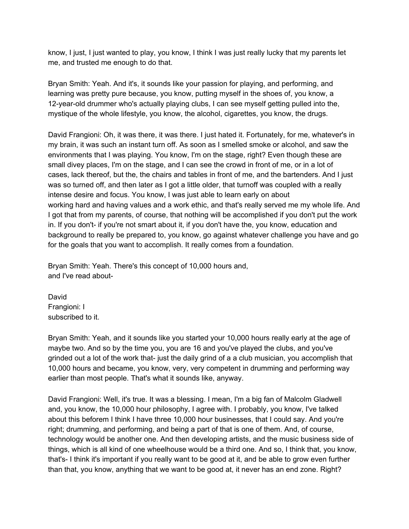know, I just, I just wanted to play, you know, I think I was just really lucky that my parents let me, and trusted me enough to do that.

Bryan Smith: Yeah. And it's, it sounds like your passion for playing, and performing, and learning was pretty pure because, you know, putting myself in the shoes of, you know, a 12-year-old drummer who's actually playing clubs, I can see myself getting pulled into the, mystique of the whole lifestyle, you know, the alcohol, cigarettes, you know, the drugs.

David Frangioni: Oh, it was there, it was there. I just hated it. Fortunately, for me, whatever's in my brain, it was such an instant turn off. As soon as I smelled smoke or alcohol, and saw the environments that I was playing. You know, I'm on the stage, right? Even though these are small divey places, I'm on the stage, and I can see the crowd in front of me, or in a lot of cases, lack thereof, but the, the chairs and tables in front of me, and the bartenders. And I just was so turned off, and then later as I got a little older, that turnoff was coupled with a really intense desire and focus. You know, I was just able to learn early on about working hard and having values and a work ethic, and that's really served me my whole life. And I got that from my parents, of course, that nothing will be accomplished if you don't put the work in. If you don't- if you're not smart about it, if you don't have the, you know, education and background to really be prepared to, you know, go against whatever challenge you have and go for the goals that you want to accomplish. It really comes from a foundation.

Bryan Smith: Yeah. There's this concept of 10,000 hours and, and I've read about-

David Frangioni: I subscribed to it.

Bryan Smith: Yeah, and it sounds like you started your 10,000 hours really early at the age of maybe two. And so by the time you, you are 16 and you've played the clubs, and you've grinded out a lot of the work that- just the daily grind of a a club musician, you accomplish that 10,000 hours and became, you know, very, very competent in drumming and performing way earlier than most people. That's what it sounds like, anyway.

David Frangioni: Well, it's true. It was a blessing. I mean, I'm a big fan of Malcolm Gladwell and, you know, the 10,000 hour philosophy, I agree with. I probably, you know, I've talked about this beforem I think I have three 10,000 hour businesses, that I could say. And you're right; drumming, and performing, and being a part of that is one of them. And, of course, technology would be another one. And then developing artists, and the music business side of things, which is all kind of one wheelhouse would be a third one. And so, I think that, you know, that's- I think it's important if you really want to be good at it, and be able to grow even further than that, you know, anything that we want to be good at, it never has an end zone. Right?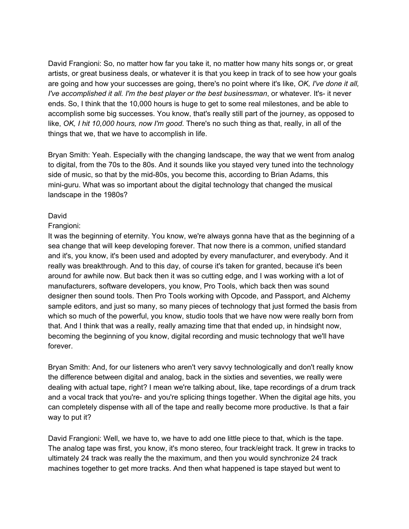David Frangioni: So, no matter how far you take it, no matter how many hits songs or, or great artists, or great business deals, or whatever it is that you keep in track of to see how your goals are going and how your successes are going, there's no point where it's like, *OK, I've done it all, I've accomplished it all. I'm the best player or the best businessman*, or whatever. It's- it never ends. So, I think that the 10,000 hours is huge to get to some real milestones, and be able to accomplish some big successes. You know, that's really still part of the journey, as opposed to like, *OK, I hit 10,000 hours, now I'm good*. There's no such thing as that, really, in all of the things that we, that we have to accomplish in life.

Bryan Smith: Yeah. Especially with the changing landscape, the way that we went from analog to digital, from the 70s to the 80s. And it sounds like you stayed very tuned into the technology side of music, so that by the mid-80s, you become this, according to Brian Adams, this mini-guru. What was so important about the digital technology that changed the musical landscape in the 1980s?

#### David

#### Frangioni:

It was the beginning of eternity. You know, we're always gonna have that as the beginning of a sea change that will keep developing forever. That now there is a common, unified standard and it's, you know, it's been used and adopted by every manufacturer, and everybody. And it really was breakthrough. And to this day, of course it's taken for granted, because it's been around for awhile now. But back then it was so cutting edge, and I was working with a lot of manufacturers, software developers, you know, Pro Tools, which back then was sound designer then sound tools. Then Pro Tools working with Opcode, and Passport, and Alchemy sample editors, and just so many, so many pieces of technology that just formed the basis from which so much of the powerful, you know, studio tools that we have now were really born from that. And I think that was a really, really amazing time that that ended up, in hindsight now, becoming the beginning of you know, digital recording and music technology that we'll have forever.

Bryan Smith: And, for our listeners who aren't very savvy technologically and don't really know the difference between digital and analog, back in the sixties and seventies, we really were dealing with actual tape, right? I mean we're talking about, like, tape recordings of a drum track and a vocal track that you're- and you're splicing things together. When the digital age hits, you can completely dispense with all of the tape and really become more productive. Is that a fair way to put it?

David Frangioni: Well, we have to, we have to add one little piece to that, which is the tape. The analog tape was first, you know, it's mono stereo, four track/eight track. It grew in tracks to ultimately 24 track was really the the maximum, and then you would synchronize 24 track machines together to get more tracks. And then what happened is tape stayed but went to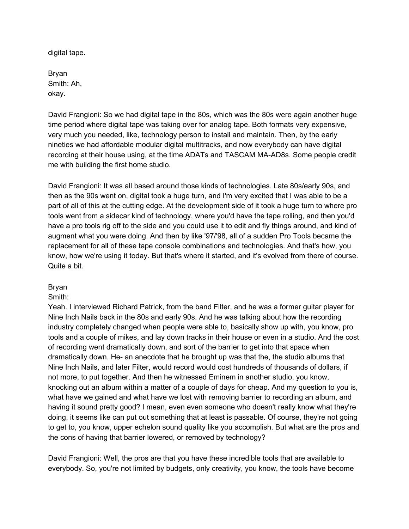digital tape.

Bryan Smith: Ah, okay.

David Frangioni: So we had digital tape in the 80s, which was the 80s were again another huge time period where digital tape was taking over for analog tape. Both formats very expensive, very much you needed, like, technology person to install and maintain. Then, by the early nineties we had affordable modular digital multitracks, and now everybody can have digital recording at their house using, at the time ADATs and TASCAM MA-AD8s. Some people credit me with building the first home studio.

David Frangioni: It was all based around those kinds of technologies. Late 80s/early 90s, and then as the 90s went on, digital took a huge turn, and I'm very excited that I was able to be a part of all of this at the cutting edge. At the development side of it took a huge turn to where pro tools went from a sidecar kind of technology, where you'd have the tape rolling, and then you'd have a pro tools rig off to the side and you could use it to edit and fly things around, and kind of augment what you were doing. And then by like '97/'98, all of a sudden Pro Tools became the replacement for all of these tape console combinations and technologies. And that's how, you know, how we're using it today. But that's where it started, and it's evolved from there of course. Quite a bit.

### Bryan

Smith:

Yeah. I interviewed Richard Patrick, from the band Filter, and he was a former guitar player for Nine Inch Nails back in the 80s and early 90s. And he was talking about how the recording industry completely changed when people were able to, basically show up with, you know, pro tools and a couple of mikes, and lay down tracks in their house or even in a studio. And the cost of recording went dramatically down, and sort of the barrier to get into that space when dramatically down. He- an anecdote that he brought up was that the, the studio albums that Nine Inch Nails, and later Filter, would record would cost hundreds of thousands of dollars, if not more, to put together. And then he witnessed Eminem in another studio, you know, knocking out an album within a matter of a couple of days for cheap. And my question to you is, what have we gained and what have we lost with removing barrier to recording an album, and having it sound pretty good? I mean, even even someone who doesn't really know what they're doing, it seems like can put out something that at least is passable. Of course, they're not going to get to, you know, upper echelon sound quality like you accomplish. But what are the pros and the cons of having that barrier lowered, or removed by technology?

David Frangioni: Well, the pros are that you have these incredible tools that are available to everybody. So, you're not limited by budgets, only creativity, you know, the tools have become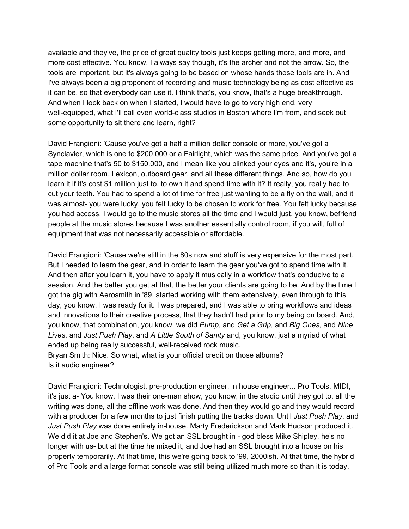available and they've, the price of great quality tools just keeps getting more, and more, and more cost effective. You know, I always say though, it's the archer and not the arrow. So, the tools are important, but it's always going to be based on whose hands those tools are in. And I've always been a big proponent of recording and music technology being as cost effective as it can be, so that everybody can use it. I think that's, you know, that's a huge breakthrough. And when I look back on when I started, I would have to go to very high end, very well-equipped, what I'll call even world-class studios in Boston where I'm from, and seek out some opportunity to sit there and learn, right?

David Frangioni: 'Cause you've got a half a million dollar console or more, you've got a Synclavier, which is one to \$200,000 or a Fairlight, which was the same price. And you've got a tape machine that's 50 to \$150,000, and I mean like you blinked your eyes and it's, you're in a million dollar room. Lexicon, outboard gear, and all these different things. And so, how do you learn it if it's cost \$1 million just to, to own it and spend time with it? It really, you really had to cut your teeth. You had to spend a lot of time for free just wanting to be a fly on the wall, and it was almost- you were lucky, you felt lucky to be chosen to work for free. You felt lucky because you had access. I would go to the music stores all the time and I would just, you know, befriend people at the music stores because I was another essentially control room, if you will, full of equipment that was not necessarily accessible or affordable.

David Frangioni: 'Cause we're still in the 80s now and stuff is very expensive for the most part. But I needed to learn the gear, and in order to learn the gear you've got to spend time with it. And then after you learn it, you have to apply it musically in a workflow that's conducive to a session. And the better you get at that, the better your clients are going to be. And by the time I got the gig with Aerosmith in '89, started working with them extensively, even through to this day, you know, I was ready for it. I was prepared, and I was able to bring workflows and ideas and innovations to their creative process, that they hadn't had prior to my being on board. And, you know, that combination, you know, we did *Pump*, and *Get a Grip*, and *Big Ones*, and *Nine Lives*, and *Just Push Play*, and *A Little South of Sanity* and, you know, just a myriad of what ended up being really successful, well-received rock music. Bryan Smith: Nice. So what, what is your official credit on those albums? Is it audio engineer?

David Frangioni: Technologist, pre-production engineer, in house engineer... Pro Tools, MIDI, it's just a- You know, I was their one-man show, you know, in the studio until they got to, all the writing was done, all the offline work was done. And then they would go and they would record with a producer for a few months to just finish putting the tracks down. Until *Just Push Play*, and *Just Push Play* was done entirely in-house. Marty Frederickson and Mark Hudson produced it. We did it at Joe and Stephen's. We got an SSL brought in - god bless Mike Shipley, he's no longer with us- but at the time he mixed it, and Joe had an SSL brought into a house on his property temporarily. At that time, this we're going back to '99, 2000ish. At that time, the hybrid of Pro Tools and a large format console was still being utilized much more so than it is today.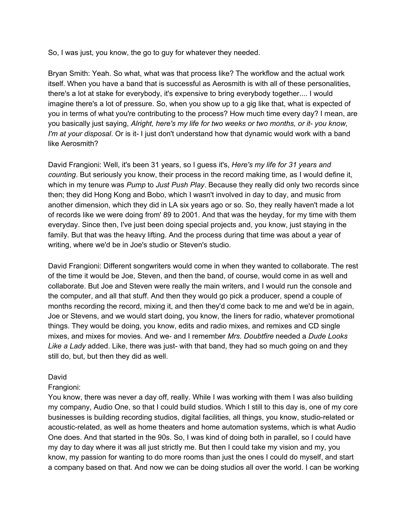So, I was just, you know, the go to guy for whatever they needed.

Bryan Smith: Yeah. So what, what was that process like? The workflow and the actual work itself. When you have a band that is successful as Aerosmith is with all of these personalities, there's a lot at stake for everybody, it's expensive to bring everybody together.... I would imagine there's a lot of pressure. So, when you show up to a gig like that, what is expected of you in terms of what you're contributing to the process? How much time every day? I mean, are you basically just saying, *Alright, here's my life for two weeks or two months, or it- you know, I'm at your disposal*. Or is it- I just don't understand how that dynamic would work with a band like Aerosmith?

David Frangioni: Well, it's been 31 years, so I guess it's, *Here's my life for 31 years and counting*. But seriously you know, their process in the record making time, as I would define it, which in my tenure was *Pump* to *Just Push Play*. Because they really did only two records since then; they did Hong Kong and Bobo, which I wasn't involved in day to day, and music from another dimension, which they did in LA six years ago or so. So, they really haven't made a lot of records like we were doing from' 89 to 2001. And that was the heyday, for my time with them everyday. Since then, I've just been doing special projects and, you know, just staying in the family. But that was the heavy lifting. And the process during that time was about a year of writing, where we'd be in Joe's studio or Steven's studio.

David Frangioni: Different songwriters would come in when they wanted to collaborate. The rest of the time it would be Joe, Steven, and then the band, of course, would come in as well and collaborate. But Joe and Steven were really the main writers, and I would run the console and the computer, and all that stuff. And then they would go pick a producer, spend a couple of months recording the record, mixing it, and then they'd come back to me and we'd be in again, Joe or Stevens, and we would start doing, you know, the liners for radio, whatever promotional things. They would be doing, you know, edits and radio mixes, and remixes and CD single mixes, and mixes for movies. And we- and I remember *Mrs. Doubtfire* needed a *Dude Looks Like a Lady* added. Like, there was just- with that band, they had so much going on and they still do, but, but then they did as well.

### David

### Frangioni:

You know, there was never a day off, really. While I was working with them I was also building my company, Audio One, so that I could build studios. Which I still to this day is, one of my core businesses is building recording studios, digital facilities, all things, you know, studio-related or acoustic-related, as well as home theaters and home automation systems, which is what Audio One does. And that started in the 90s. So, I was kind of doing both in parallel, so I could have my day to day where it was all just strictly me. But then I could take my vision and my, you know, my passion for wanting to do more rooms than just the ones I could do myself, and start a company based on that. And now we can be doing studios all over the world. I can be working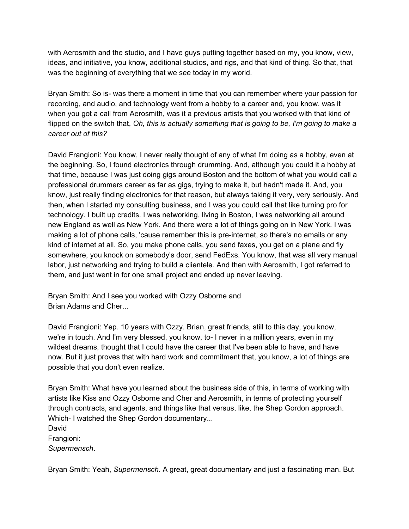with Aerosmith and the studio, and I have guys putting together based on my, you know, view, ideas, and initiative, you know, additional studios, and rigs, and that kind of thing. So that, that was the beginning of everything that we see today in my world.

Bryan Smith: So is- was there a moment in time that you can remember where your passion for recording, and audio, and technology went from a hobby to a career and, you know, was it when you got a call from Aerosmith, was it a previous artists that you worked with that kind of flipped on the switch that, *Oh, this is actually something that is going to be, I'm going to make a career out of this?*

David Frangioni: You know, I never really thought of any of what I'm doing as a hobby, even at the beginning. So, I found electronics through drumming. And, although you could it a hobby at that time, because I was just doing gigs around Boston and the bottom of what you would call a professional drummers career as far as gigs, trying to make it, but hadn't made it. And, you know, just really finding electronics for that reason, but always taking it very, very seriously. And then, when I started my consulting business, and I was you could call that like turning pro for technology. I built up credits. I was networking, living in Boston, I was networking all around new England as well as New York. And there were a lot of things going on in New York. I was making a lot of phone calls, 'cause remember this is pre-internet, so there's no emails or any kind of internet at all. So, you make phone calls, you send faxes, you get on a plane and fly somewhere, you knock on somebody's door, send FedExs. You know, that was all very manual labor, just networking and trying to build a clientele. And then with Aerosmith, I got referred to them, and just went in for one small project and ended up never leaving.

Bryan Smith: And I see you worked with Ozzy Osborne and Brian Adams and Cher...

David Frangioni: Yep. 10 years with Ozzy. Brian, great friends, still to this day, you know, we're in touch. And I'm very blessed, you know, to- I never in a million years, even in my wildest dreams, thought that I could have the career that I've been able to have, and have now. But it just proves that with hard work and commitment that, you know, a lot of things are possible that you don't even realize.

Bryan Smith: What have you learned about the business side of this, in terms of working with artists like Kiss and Ozzy Osborne and Cher and Aerosmith, in terms of protecting yourself through contracts, and agents, and things like that versus, like, the Shep Gordon approach. Which- I watched the Shep Gordon documentary... David Frangioni: *Supermensch*.

Bryan Smith: Yeah, *Supermensch*. A great, great documentary and just a fascinating man. But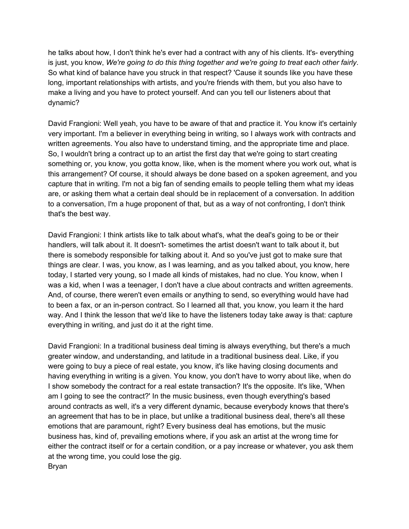he talks about how, I don't think he's ever had a contract with any of his clients. It's- everything is just, you know, *We're going to do this thing together and we're going to treat each other fairly*. So what kind of balance have you struck in that respect? 'Cause it sounds like you have these long, important relationships with artists, and you're friends with them, but you also have to make a living and you have to protect yourself. And can you tell our listeners about that dynamic?

David Frangioni: Well yeah, you have to be aware of that and practice it. You know it's certainly very important. I'm a believer in everything being in writing, so I always work with contracts and written agreements. You also have to understand timing, and the appropriate time and place. So, I wouldn't bring a contract up to an artist the first day that we're going to start creating something or, you know, you gotta know, like, when is the moment where you work out, what is this arrangement? Of course, it should always be done based on a spoken agreement, and you capture that in writing. I'm not a big fan of sending emails to people telling them what my ideas are, or asking them what a certain deal should be in replacement of a conversation. In addition to a conversation, I'm a huge proponent of that, but as a way of not confronting, I don't think that's the best way.

David Frangioni: I think artists like to talk about what's, what the deal's going to be or their handlers, will talk about it. It doesn't- sometimes the artist doesn't want to talk about it, but there is somebody responsible for talking about it. And so you've just got to make sure that things are clear. I was, you know, as I was learning, and as you talked about, you know, here today, I started very young, so I made all kinds of mistakes, had no clue. You know, when I was a kid, when I was a teenager, I don't have a clue about contracts and written agreements. And, of course, there weren't even emails or anything to send, so everything would have had to been a fax, or an in-person contract. So I learned all that, you know, you learn it the hard way. And I think the lesson that we'd like to have the listeners today take away is that: capture everything in writing, and just do it at the right time.

David Frangioni: In a traditional business deal timing is always everything, but there's a much greater window, and understanding, and latitude in a traditional business deal. Like, if you were going to buy a piece of real estate, you know, it's like having closing documents and having everything in writing is a given. You know, you don't have to worry about like, when do I show somebody the contract for a real estate transaction? It's the opposite. It's like, 'When am I going to see the contract?' In the music business, even though everything's based around contracts as well, it's a very different dynamic, because everybody knows that there's an agreement that has to be in place, but unlike a traditional business deal, there's all these emotions that are paramount, right? Every business deal has emotions, but the music business has, kind of, prevailing emotions where, if you ask an artist at the wrong time for either the contract itself or for a certain condition, or a pay increase or whatever, you ask them at the wrong time, you could lose the gig. Bryan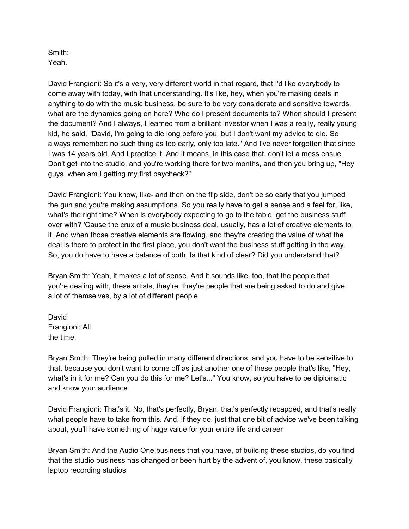### Smith: Yeah.

David Frangioni: So it's a very, very different world in that regard, that I'd like everybody to come away with today, with that understanding. It's like, hey, when you're making deals in anything to do with the music business, be sure to be very considerate and sensitive towards, what are the dynamics going on here? Who do I present documents to? When should I present the document? And I always, I learned from a brilliant investor when I was a really, really young kid, he said, "David, I'm going to die long before you, but I don't want my advice to die. So always remember: no such thing as too early, only too late." And I've never forgotten that since I was 14 years old. And I practice it. And it means, in this case that, don't let a mess ensue. Don't get into the studio, and you're working there for two months, and then you bring up, "Hey guys, when am I getting my first paycheck?"

David Frangioni: You know, like- and then on the flip side, don't be so early that you jumped the gun and you're making assumptions. So you really have to get a sense and a feel for, like, what's the right time? When is everybody expecting to go to the table, get the business stuff over with? 'Cause the crux of a music business deal, usually, has a lot of creative elements to it. And when those creative elements are flowing, and they're creating the value of what the deal is there to protect in the first place, you don't want the business stuff getting in the way. So, you do have to have a balance of both. Is that kind of clear? Did you understand that?

Bryan Smith: Yeah, it makes a lot of sense. And it sounds like, too, that the people that you're dealing with, these artists, they're, they're people that are being asked to do and give a lot of themselves, by a lot of different people.

David Frangioni: All the time.

Bryan Smith: They're being pulled in many different directions, and you have to be sensitive to that, because you don't want to come off as just another one of these people that's like, "Hey, what's in it for me? Can you do this for me? Let's..." You know, so you have to be diplomatic and know your audience.

David Frangioni: That's it. No, that's perfectly, Bryan, that's perfectly recapped, and that's really what people have to take from this. And, if they do, just that one bit of advice we've been talking about, you'll have something of huge value for your entire life and career

Bryan Smith: And the Audio One business that you have, of building these studios, do you find that the studio business has changed or been hurt by the advent of, you know, these basically laptop recording studios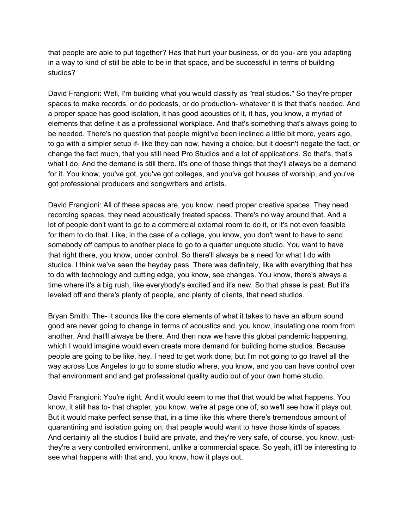that people are able to put together? Has that hurt your business, or do you- are you adapting in a way to kind of still be able to be in that space, and be successful in terms of building studios?

David Frangioni: Well, I'm building what you would classify as "real studios." So they're proper spaces to make records, or do podcasts, or do production- whatever it is that that's needed. And a proper space has good isolation, it has good acoustics of it, it has, you know, a myriad of elements that define it as a professional workplace. And that's something that's always going to be needed. There's no question that people might've been inclined a little bit more, years ago, to go with a simpler setup if- like they can now, having a choice, but it doesn't negate the fact, or change the fact much, that you still need Pro Studios and a lot of applications. So that's, that's what I do. And the demand is still there. It's one of those things that they'll always be a demand for it. You know, you've got, you've got colleges, and you've got houses of worship, and you've got professional producers and songwriters and artists.

David Frangioni: All of these spaces are, you know, need proper creative spaces. They need recording spaces, they need acoustically treated spaces. There's no way around that. And a lot of people don't want to go to a commercial external room to do it, or it's not even feasible for them to do that. Like, in the case of a college, you know, you don't want to have to send somebody off campus to another place to go to a quarter unquote studio. You want to have that right there, you know, under control. So there'll always be a need for what I do with studios. I think we've seen the heyday pass. There was definitely, like with everything that has to do with technology and cutting edge, you know, see changes. You know, there's always a time where it's a big rush, like everybody's excited and it's new. So that phase is past. But it's leveled off and there's plenty of people, and plenty of clients, that need studios.

Bryan Smith: The- it sounds like the core elements of what it takes to have an album sound good are never going to change in terms of acoustics and, you know, insulating one room from another. And that'll always be there. And then now we have this global pandemic happening, which I would imagine would even create more demand for building home studios. Because people are going to be like, hey, I need to get work done, but I'm not going to go travel all the way across Los Angeles to go to some studio where, you know, and you can have control over that environment and and get professional quality audio out of your own home studio.

David Frangioni: You're right. And it would seem to me that that would be what happens. You know, it still has to- that chapter, you know, we're at page one of, so we'll see how it plays out. But it would make perfect sense that, in a time like this where there's tremendous amount of quarantining and isolation going on, that people would want to have those kinds of spaces. And certainly all the studios I build are private, and they're very safe, of course, you know, justthey're a very controlled environment, unlike a commercial space. So yeah, it'll be interesting to see what happens with that and, you know, how it plays out.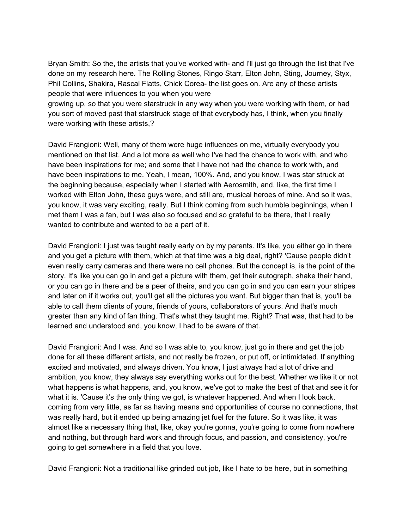Bryan Smith: So the, the artists that you've worked with- and I'll just go through the list that I've done on my research here. The Rolling Stones, Ringo Starr, Elton John, Sting, Journey, Styx, Phil Collins, Shakira, Rascal Flatts, Chick Corea- the list goes on. Are any of these artists people that were influences to you when you were

growing up, so that you were starstruck in any way when you were working with them, or had you sort of moved past that starstruck stage of that everybody has, I think, when you finally were working with these artists,?

David Frangioni: Well, many of them were huge influences on me, virtually everybody you mentioned on that list. And a lot more as well who I've had the chance to work with, and who have been inspirations for me; and some that I have not had the chance to work with, and have been inspirations to me. Yeah, I mean, 100%. And, and you know, I was star struck at the beginning because, especially when I started with Aerosmith, and, like, the first time I worked with Elton John, these guys were, and still are, musical heroes of mine. And so it was, you know, it was very exciting, really. But I think coming from such humble beginnings, when I met them I was a fan, but I was also so focused and so grateful to be there, that I really wanted to contribute and wanted to be a part of it.

David Frangioni: I just was taught really early on by my parents. It's like, you either go in there and you get a picture with them, which at that time was a big deal, right? 'Cause people didn't even really carry cameras and there were no cell phones. But the concept is, is the point of the story. It's like you can go in and get a picture with them, get their autograph, shake their hand, or you can go in there and be a peer of theirs, and you can go in and you can earn your stripes and later on if it works out, you'll get all the pictures you want. But bigger than that is, you'll be able to call them clients of yours, friends of yours, collaborators of yours. And that's much greater than any kind of fan thing. That's what they taught me. Right? That was, that had to be learned and understood and, you know, I had to be aware of that.

David Frangioni: And I was. And so I was able to, you know, just go in there and get the job done for all these different artists, and not really be frozen, or put off, or intimidated. If anything excited and motivated, and always driven. You know, I just always had a lot of drive and ambition, you know, they always say everything works out for the best. Whether we like it or not what happens is what happens, and, you know, we've got to make the best of that and see it for what it is. 'Cause it's the only thing we got, is whatever happened. And when I look back, coming from very little, as far as having means and opportunities of course no connections, that was really hard, but it ended up being amazing jet fuel for the future. So it was like, it was almost like a necessary thing that, like, okay you're gonna, you're going to come from nowhere and nothing, but through hard work and through focus, and passion, and consistency, you're going to get somewhere in a field that you love.

David Frangioni: Not a traditional like grinded out job, like I hate to be here, but in something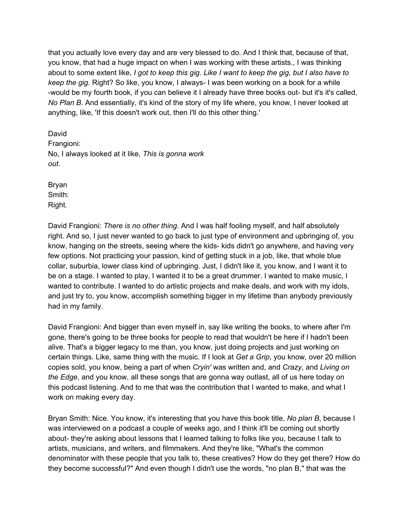that you actually love every day and are very blessed to do. And I think that, because of that, you know, that had a huge impact on when I was working with these artists., I was thinking about to some extent like, *I got to keep this gig. Like I want to keep the gig, but I also have to keep the gig.* Right? So like, you know, I always- I was been working on a book for a while -would be my fourth book, if you can believe it I already have three books out- but it's it's called, *No Plan B*. And essentially, it's kind of the story of my life where, you know, I never looked at anything, like, 'If this doesn't work out, then I'll do this other thing.'

David Frangioni: No, I always looked at it like, *This is gonna work out*.

Bryan Smith: Right.

David Frangioni: *There is no other thing*. And I was half fooling myself, and half absolutely right. And so, I just never wanted to go back to just type of environment and upbringing of, you know, hanging on the streets, seeing where the kids- kids didn't go anywhere, and having very few options. Not practicing your passion, kind of getting stuck in a job, like, that whole blue collar, suburbia, lower class kind of upbringing. Just, I didn't like it, you know, and I want it to be on a stage. I wanted to play, I wanted it to be a great drummer. I wanted to make music, I wanted to contribute. I wanted to do artistic projects and make deals, and work with my idols, and just try to, you know, accomplish something bigger in my lifetime than anybody previously had in my family.

David Frangioni: And bigger than even myself in, say like writing the books, to where after I'm gone, there's going to be three books for people to read that wouldn't be here if I hadn't been alive. That's a bigger legacy to me than, you know, just doing projects and just working on certain things. Like, same thing with the music. If I look at *Get a Grip*, you know, over 20 million copies sold, you know, being a part of when *Cryin'* was written and, and *Crazy*, and *Living on the Edge*, and you know, all these songs that are gonna way outlast, all of us here today on this podcast listening. And to me that was the contribution that I wanted to make, and what I work on making every day.

Bryan Smith: Nice. You know, it's interesting that you have this book title, *No plan B*, because I was interviewed on a podcast a couple of weeks ago, and I think it'll be coming out shortly about- they're asking about lessons that I learned talking to folks like you, because I talk to artists, musicians, and writers, and filmmakers. And they're like, "What's the common denominator with these people that you talk to, these creatives? How do they get there? How do they become successful?" And even though I didn't use the words, "no plan B," that was the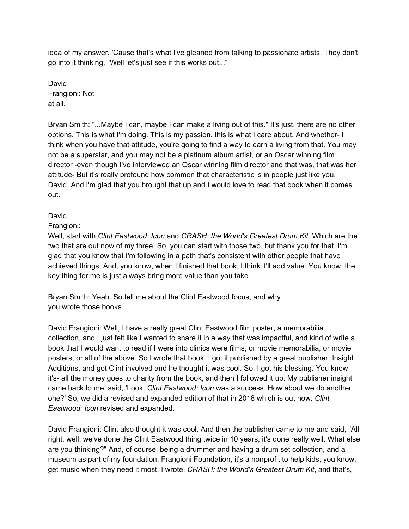idea of my answer. 'Cause that's what I've gleaned from talking to passionate artists. They don't go into it thinking, "Well let's just see if this works out..."

David Frangioni: Not at all.

Bryan Smith: "...Maybe I can, maybe I can make a living out of this." It's just, there are no other options. This is what I'm doing. This is my passion, this is what I care about. And whether- I think when you have that attitude, you're going to find a way to earn a living from that. You may not be a superstar, and you may not be a platinum album artist, or an Oscar winning film director -even though I've interviewed an Oscar winning film director and that was, that was her attitude- But it's really profound how common that characteristic is in people just like you, David. And I'm glad that you brought that up and I would love to read that book when it comes out.

## David

## Frangioni:

Well, start with *Clint Eastwood: Icon* and *CRASH: the World's Greatest Drum Kit*. Which are the two that are out now of my three. So, you can start with those two, but thank you for that. I'm glad that you know that I'm following in a path that's consistent with other people that have achieved things. And, you know, when I finished that book, I think it'll add value. You know, the key thing for me is just always bring more value than you take.

Bryan Smith: Yeah. So tell me about the Clint Eastwood focus, and why you wrote those books.

David Frangioni: Well, I have a really great Clint Eastwood film poster, a memorabilia collection, and I just felt like I wanted to share it in a way that was impactful, and kind of write a book that I would want to read if I were into clinics were films, or movie memorabilia, or movie posters, or all of the above. So I wrote that book. I got it published by a great publisher, Insight Additions, and got Clint involved and he thought it was cool. So, I got his blessing. You know it's- all the money goes to charity from the book, and then I followed it up. My publisher insight came back to me, said, 'Look, *Clint Eastwood: Icon* was a success. How about we do another one?' So, we did a revised and expanded edition of that in 2018 which is out now. *Clint Eastwood: Icon* revised and expanded.

David Frangioni: Clint also thought it was cool. And then the publisher came to me and said, "All right, well, we've done the Clint Eastwood thing twice in 10 years, it's done really well. What else are you thinking?" And, of course, being a drummer and having a drum set collection, and a museum as part of my foundation: Frangioni Foundation, it's a nonprofit to help kids, you know, get music when they need it most. I wrote, *CRASH: the World's Greatest Drum Kit*, and that's,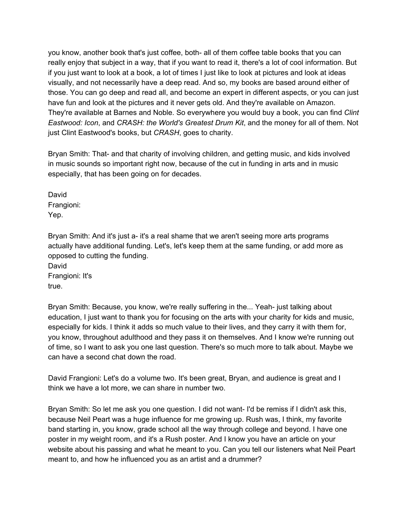you know, another book that's just coffee, both- all of them coffee table books that you can really enjoy that subject in a way, that if you want to read it, there's a lot of cool information. But if you just want to look at a book, a lot of times I just like to look at pictures and look at ideas visually, and not necessarily have a deep read. And so, my books are based around either of those. You can go deep and read all, and become an expert in different aspects, or you can just have fun and look at the pictures and it never gets old. And they're available on Amazon. They're available at Barnes and Noble. So everywhere you would buy a book, you can find *Clint Eastwood: Icon*, and *CRASH: the World's Greatest Drum Kit*, and the money for all of them. Not just Clint Eastwood's books, but *CRASH*, goes to charity.

Bryan Smith: That- and that charity of involving children, and getting music, and kids involved in music sounds so important right now, because of the cut in funding in arts and in music especially, that has been going on for decades.

David Frangioni: Yep.

Bryan Smith: And it's just a- it's a real shame that we aren't seeing more arts programs actually have additional funding. Let's, let's keep them at the same funding, or add more as opposed to cutting the funding.

David Frangioni: It's true.

Bryan Smith: Because, you know, we're really suffering in the... Yeah- just talking about education, I just want to thank you for focusing on the arts with your charity for kids and music, especially for kids. I think it adds so much value to their lives, and they carry it with them for, you know, throughout adulthood and they pass it on themselves. And I know we're running out of time, so I want to ask you one last question. There's so much more to talk about. Maybe we can have a second chat down the road.

David Frangioni: Let's do a volume two. It's been great, Bryan, and audience is great and I think we have a lot more, we can share in number two.

Bryan Smith: So let me ask you one question. I did not want- I'd be remiss if I didn't ask this, because Neil Peart was a huge influence for me growing up. Rush was, I think, my favorite band starting in, you know, grade school all the way through college and beyond. I have one poster in my weight room, and it's a Rush poster. And I know you have an article on your website about his passing and what he meant to you. Can you tell our listeners what Neil Peart meant to, and how he influenced you as an artist and a drummer?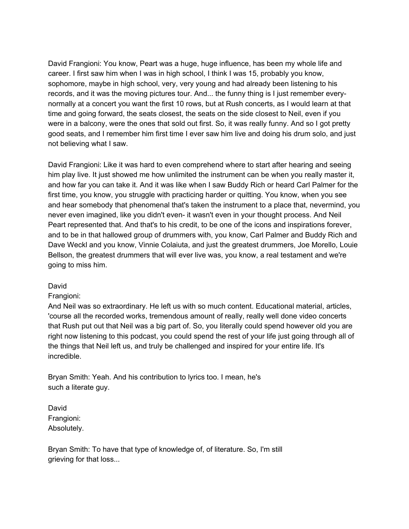David Frangioni: You know, Peart was a huge, huge influence, has been my whole life and career. I first saw him when I was in high school, I think I was 15, probably you know, sophomore, maybe in high school, very, very young and had already been listening to his records, and it was the moving pictures tour. And... the funny thing is I just remember everynormally at a concert you want the first 10 rows, but at Rush concerts, as I would learn at that time and going forward, the seats closest, the seats on the side closest to Neil, even if you were in a balcony, were the ones that sold out first. So, it was really funny. And so I got pretty good seats, and I remember him first time I ever saw him live and doing his drum solo, and just not believing what I saw.

David Frangioni: Like it was hard to even comprehend where to start after hearing and seeing him play live. It just showed me how unlimited the instrument can be when you really master it, and how far you can take it. And it was like when I saw Buddy Rich or heard Carl Palmer for the first time, you know, you struggle with practicing harder or quitting. You know, when you see and hear somebody that phenomenal that's taken the instrument to a place that, nevermind, you never even imagined, like you didn't even- it wasn't even in your thought process. And Neil Peart represented that. And that's to his credit, to be one of the icons and inspirations forever, and to be in that hallowed group of drummers with, you know, Carl Palmer and Buddy Rich and Dave Weckl and you know, Vinnie Colaiuta, and just the greatest drummers, Joe Morello, Louie Bellson, the greatest drummers that will ever live was, you know, a real testament and we're going to miss him.

### David

### Frangioni:

And Neil was so extraordinary. He left us with so much content. Educational material, articles, 'course all the recorded works, tremendous amount of really, really well done video concerts that Rush put out that Neil was a big part of. So, you literally could spend however old you are right now listening to this podcast, you could spend the rest of your life just going through all of the things that Neil left us, and truly be challenged and inspired for your entire life. It's incredible.

Bryan Smith: Yeah. And his contribution to lyrics too. I mean, he's such a literate guy.

David Frangioni: Absolutely.

Bryan Smith: To have that type of knowledge of, of literature. So, I'm still grieving for that loss...